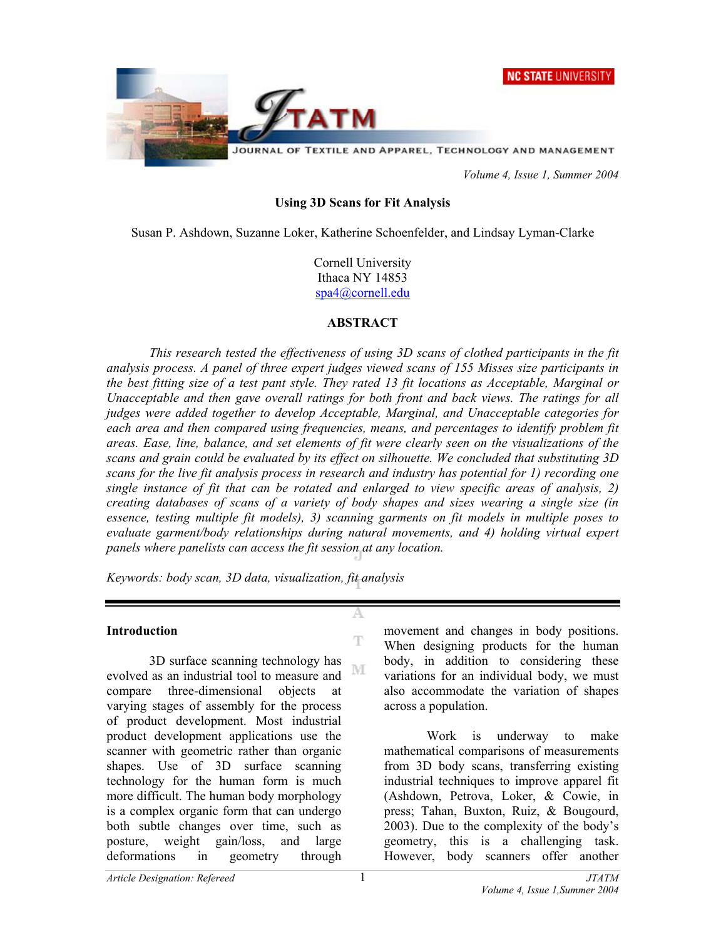



 *Volume 4, Issue 1, Summer 2004* 

#### **Using 3D Scans for Fit Analysis**

Susan P. Ashdown, Suzanne Loker, Katherine Schoenfelder, and Lindsay Lyman-Clarke

Cornell University Ithaca NY 14853 spa4@cornell.edu

#### **ABSTRACT**

*This research tested the effectiveness of using 3D scans of clothed participants in the fit analysis process. A panel of three expert judges viewed scans of 155 Misses size participants in the best fitting size of a test pant style. They rated 13 fit locations as Acceptable, Marginal or Unacceptable and then gave overall ratings for both front and back views. The ratings for all judges were added together to develop Acceptable, Marginal, and Unacceptable categories for*  each area and then compared using frequencies, means, and percentages to identify problem fit *areas. Ease, line, balance, and set elements of fit were clearly seen on the visualizations of the scans and grain could be evaluated by its effect on silhouette. We concluded that substituting 3D scans for the live fit analysis process in research and industry has potential for 1) recording one single instance of fit that can be rotated and enlarged to view specific areas of analysis, 2) creating databases of scans of a variety of body shapes and sizes wearing a single size (in essence, testing multiple fit models), 3) scanning garments on fit models in multiple poses to evaluate garment/body relationships during natural movements, and 4) holding virtual expert panels where panelists can access the fit session at any location.* 

А

 $\mathbb T$ 

*Keywords: body scan, 3D data, visualization, fit analysis*

#### **Introduction**

3D surface scanning technology has NΙ evolved as an industrial tool to measure and compare three-dimensional objects at varying stages of assembly for the process of product development. Most industrial product development applications use the scanner with geometric rather than organic shapes. Use of 3D surface scanning technology for the human form is much more difficult. The human body morphology is a complex organic form that can undergo both subtle changes over time, such as posture, weight gain/loss, and large deformations in geometry through

movement and changes in body positions. When designing products for the human body, in addition to considering these variations for an individual body, we must also accommodate the variation of shapes across a population.

Work is underway to make mathematical comparisons of measurements from 3D body scans, transferring existing industrial techniques to improve apparel fit (Ashdown, Petrova, Loker, & Cowie, in press; Tahan, Buxton, Ruiz, & Bougourd, 2003). Due to the complexity of the body's geometry, this is a challenging task. However, body scanners offer another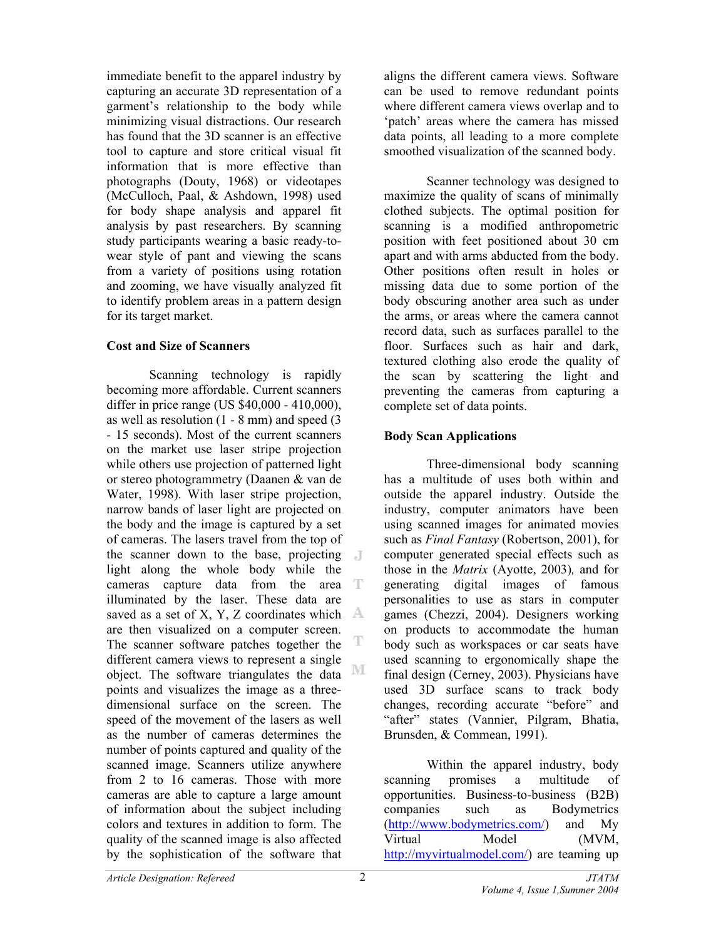immediate benefit to the apparel industry by capturing an accurate 3D representation of a garment's relationship to the body while minimizing visual distractions. Our research has found that the 3D scanner is an effective tool to capture and store critical visual fit information that is more effective than photographs (Douty, 1968) or videotapes (McCulloch, Paal, & Ashdown, 1998) used for body shape analysis and apparel fit analysis by past researchers. By scanning study participants wearing a basic ready-towear style of pant and viewing the scans from a variety of positions using rotation and zooming, we have visually analyzed fit to identify problem areas in a pattern design for its target market.

## **Cost and Size of Scanners**

Scanning technology is rapidly becoming more affordable. Current scanners differ in price range (US \$40,000 - 410,000), as well as resolution (1 - 8 mm) and speed (3 - 15 seconds). Most of the current scanners on the market use laser stripe projection while others use projection of patterned light or stereo photogrammetry (Daanen & van de Water, 1998). With laser stripe projection, narrow bands of laser light are projected on the body and the image is captured by a set of cameras. The lasers travel from the top of the scanner down to the base, projecting light along the whole body while the cameras capture data from the area T illuminated by the laser. These data are saved as a set of X, Y, Z coordinates which  $\mathbb{A}$ are then visualized on a computer screen. T The scanner software patches together the different camera views to represent a single М object. The software triangulates the data points and visualizes the image as a threedimensional surface on the screen. The speed of the movement of the lasers as well as the number of cameras determines the number of points captured and quality of the scanned image. Scanners utilize anywhere from 2 to 16 cameras. Those with more cameras are able to capture a large amount of information about the subject including colors and textures in addition to form. The quality of the scanned image is also affected by the sophistication of the software that

aligns the different camera views. Software can be used to remove redundant points where different camera views overlap and to 'patch' areas where the camera has missed data points, all leading to a more complete smoothed visualization of the scanned body.

Scanner technology was designed to maximize the quality of scans of minimally clothed subjects. The optimal position for scanning is a modified anthropometric position with feet positioned about 30 cm apart and with arms abducted from the body. Other positions often result in holes or missing data due to some portion of the body obscuring another area such as under the arms, or areas where the camera cannot record data, such as surfaces parallel to the floor. Surfaces such as hair and dark, textured clothing also erode the quality of the scan by scattering the light and preventing the cameras from capturing a complete set of data points.

## **Body Scan Applications**

Three-dimensional body scanning has a multitude of uses both within and outside the apparel industry. Outside the industry, computer animators have been using scanned images for animated movies such as *Final Fantasy* (Robertson, 2001), for computer generated special effects such as those in the *Matrix* (Ayotte, 2003)*,* and for generating digital images of famous personalities to use as stars in computer games (Chezzi, 2004). Designers working on products to accommodate the human body such as workspaces or car seats have used scanning to ergonomically shape the final design (Cerney, 2003). Physicians have used 3D surface scans to track body changes, recording accurate "before" and "after" states (Vannier, Pilgram, Bhatia, Brunsden, & Commean, 1991).

Within the apparel industry, body scanning promises a multitude of opportunities. Business-to-business (B2B) companies such as Bodymetrics ([http://www.bodymetrics.com/\)](http://www.bodymetrics.com/) and My Virtual Model (MVM, [http://myvirtualmodel.com/\)](http://myvirtualmodel.com/) are teaming up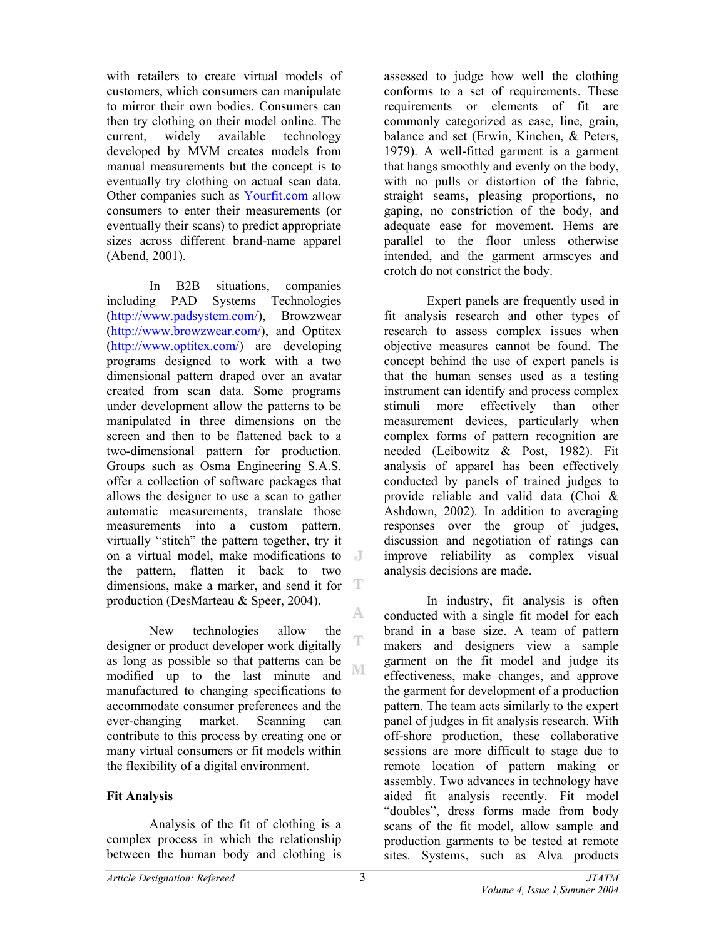with retailers to create virtual models of customers, which consumers can manipulate to mirror their own bodies. Consumers can then try clothing on their model online. The current, widely available technology developed by MVM creates models from manual measurements but the concept is to eventually try clothing on actual scan data. Other companies such as Yourfit.com allow consumers to enter their measurements (or eventually their scans) to predict appropriate sizes across different brand-name apparel (Abend, 2001).

In B2B situations, companies<br>including PAD Systems Technologies Systems Technologies ([http://www.padsystem.com](http://www.padsystem.com/)/), Browzwear ([http://www.browzwear.com](http://www.browzwear.com/)/), and Optitex ([http://www.optitex.com/\)](http://www.optitex.com/) are developing programs designed to work with a two dimensional pattern draped over an avatar created from scan data. Some programs under development allow the patterns to be manipulated in three dimensions on the screen and then to be flattened back to a two-dimensional pattern for production. Groups such as Osma Engineering S.A.S. offer a collection of software packages that allows the designer to use a scan to gather automatic measurements, translate those measurements into a custom pattern, virtually "stitch" the pattern together, try it on a virtual model, make modifications to the pattern, flatten it back to two -T dimensions, make a marker, and send it for production (DesMarteau & Speer, 2004). A.

New technologies allow the T designer or product developer work digitally as long as possible so that patterns can be NI modified up to the last minute and manufactured to changing specifications to accommodate consumer preferences and the ever-changing market. Scanning can contribute to this process by creating one or many virtual consumers or fit models within the flexibility of a digital environment.

# **Fit Analysis**

Analysis of the fit of clothing is a complex process in which the relationship between the human body and clothing is

assessed to judge how well the clothing conforms to a set of requirements. These requirements or elements of fit are commonly categorized as ease, line, grain, balance and set (Erwin, Kinchen, & Peters, 1979). A well-fitted garment is a garment that hangs smoothly and evenly on the body, with no pulls or distortion of the fabric, straight seams, pleasing proportions, no gaping, no constriction of the body, and adequate ease for movement. Hems are parallel to the floor unless otherwise intended, and the garment armscyes and crotch do not constrict the body.

Expert panels are frequently used in fit analysis research and other types of research to assess complex issues when objective measures cannot be found. The concept behind the use of expert panels is that the human senses used as a testing instrument can identify and process complex stimuli more effectively than other measurement devices, particularly when complex forms of pattern recognition are needed (Leibowitz & Post, 1982). Fit analysis of apparel has been effectively conducted by panels of trained judges to provide reliable and valid data (Choi & Ashdown, 2002). In addition to averaging responses over the group of judges, discussion and negotiation of ratings can improve reliability as complex visual analysis decisions are made.

In industry, fit analysis is often conducted with a single fit model for each brand in a base size. A team of pattern makers and designers view a sample garment on the fit model and judge its effectiveness, make changes, and approve the garment for development of a production pattern. The team acts similarly to the expert panel of judges in fit analysis research. With off-shore production, these collaborative sessions are more difficult to stage due to remote location of pattern making or assembly. Two advances in technology have aided fit analysis recently. Fit model "doubles", dress forms made from body scans of the fit model, allow sample and production garments to be tested at remote sites. Systems, such as Alva products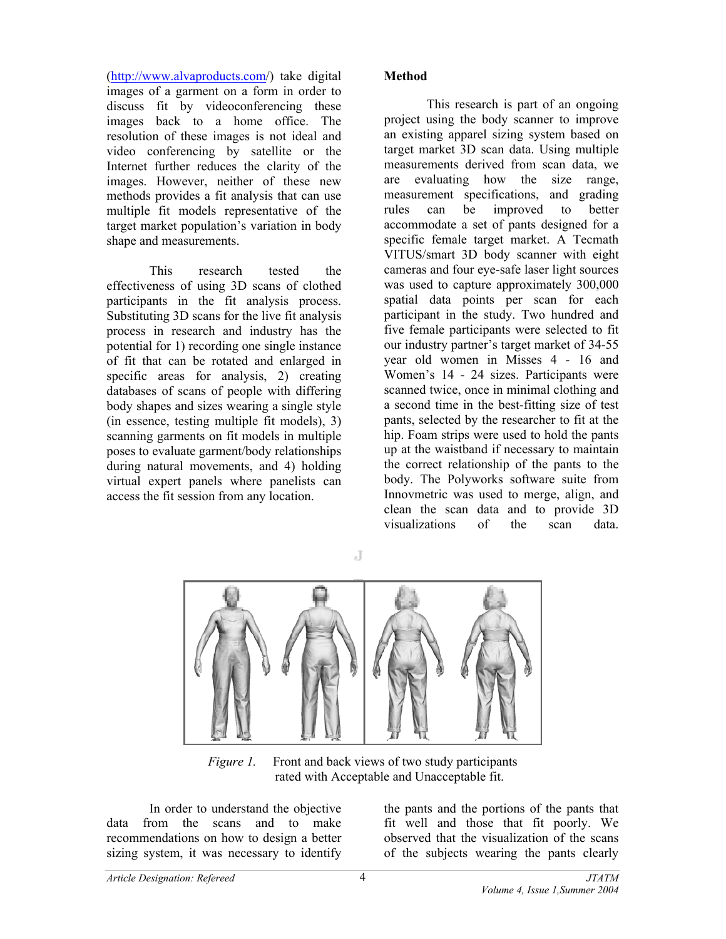([http://www.alvaproducts.com/\)](http://www.alvaproducts.com/) take digital images of a garment on a form in order to discuss fit by videoconferencing these images back to a home office. The resolution of these images is not ideal and video conferencing by satellite or the Internet further reduces the clarity of the images. However, neither of these new methods provides a fit analysis that can use multiple fit models representative of the target market population's variation in body shape and measurements.

This research tested the effectiveness of using 3D scans of clothed participants in the fit analysis process. Substituting 3D scans for the live fit analysis process in research and industry has the potential for 1) recording one single instance of fit that can be rotated and enlarged in specific areas for analysis, 2) creating databases of scans of people with differing body shapes and sizes wearing a single style (in essence, testing multiple fit models), 3) scanning garments on fit models in multiple poses to evaluate garment/body relationships during natural movements, and 4) holding virtual expert panels where panelists can access the fit session from any location.

## **Method**

This research is part of an ongoing project using the body scanner to improve an existing apparel sizing system based on target market 3D scan data. Using multiple measurements derived from scan data, we are evaluating how the size range, measurement specifications, and grading rules can be improved to better accommodate a set of pants designed for a specific female target market. A Tecmath VITUS/smart 3D body scanner with eight cameras and four eye-safe laser light sources was used to capture approximately 300,000 spatial data points per scan for each participant in the study. Two hundred and five female participants were selected to fit our industry partner's target market of 34-55 year old women in Misses 4 - 16 and Women's 14 - 24 sizes. Participants were scanned twice, once in minimal clothing and a second time in the best-fitting size of test pants, selected by the researcher to fit at the hip. Foam strips were used to hold the pants up at the waistband if necessary to maintain the correct relationship of the pants to the body. The Polyworks software suite from Innovmetric was used to merge, align, and clean the scan data and to provide 3D visualizations of the scan data.



 $\overline{d}$ 

*Figure 1.* Front and back views of two study participants rated with Acceptable and Unacceptable fit.

In order to understand the objective data from the scans and to make recommendations on how to design a better sizing system, it was necessary to identify

the pants and the portions of the pants that fit well and those that fit poorly. We observed that the visualization of the scans of the subjects wearing the pants clearly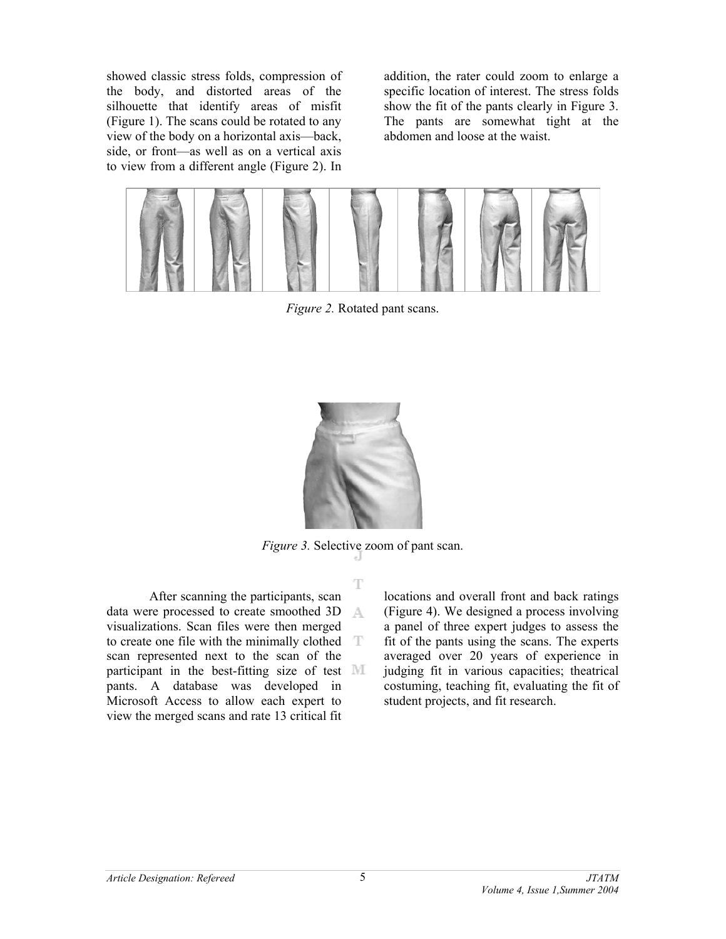showed classic stress folds, compression of the body, and distorted areas of the silhouette that identify areas of misfit (Figure 1). The scans could be rotated to any view of the body on a horizontal axis—back, side, or front—as well as on a vertical axis to view from a different angle (Figure 2). In

addition, the rater could zoom to enlarge a specific location of interest. The stress folds show the fit of the pants clearly in Figure 3. The pants are somewhat tight at the abdomen and loose at the waist.



*Figure 2.* Rotated pant scans.



*Figure 3.* Selective zoom of pant scan.

T

After scanning the participants, scan data were processed to create smoothed 3D A visualizations. Scan files were then merged to create one file with the minimally clothed scan represented next to the scan of the participant in the best-fitting size of test MI pants. A database was developed in Microsoft Access to allow each expert to view the merged scans and rate 13 critical fit

locations and overall front and back ratings (Figure 4). We designed a process involving a panel of three expert judges to assess the fit of the pants using the scans. The experts averaged over 20 years of experience in judging fit in various capacities; theatrical costuming, teaching fit, evaluating the fit of student projects, and fit research.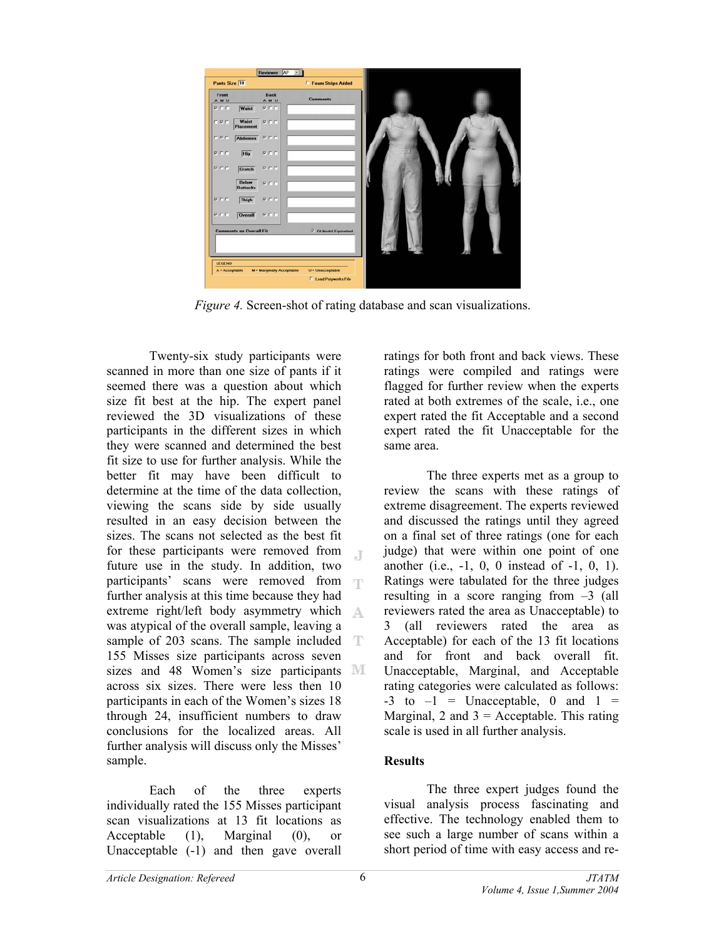| Pants Size 10                           |                      | <b>F</b> Foam Strips Added |  |
|-----------------------------------------|----------------------|----------------------------|--|
| Front<br>A M U                          | <b>Back</b><br>A M U | <b>Comments</b>            |  |
| PEE<br>Waist                            | PITT                 |                            |  |
| Waist<br><b>FPF</b><br><b>Placement</b> | <b>PFF</b>           |                            |  |
| <b>FPF</b><br><b>Abdomen</b>            | PFF                  |                            |  |
| PFF<br>Hip                              | PTT                  |                            |  |
| PFF<br>Crotch                           | PTF                  |                            |  |
| Below<br><b>Buttocks</b>                | PIFF                 |                            |  |
| <b>PFF</b><br>Thigh                     | PTT                  |                            |  |
| PFF<br>Overall                          | PIT                  |                            |  |
| <b>Comments on Overall Fit</b>          |                      | Fit Model Equivalent       |  |
|                                         |                      |                            |  |
|                                         |                      |                            |  |
| <b>LEGEND</b>                           |                      |                            |  |

*Figure 4.* Screen-shot of rating database and scan visualizations.

Twenty-six study participants were scanned in more than one size of pants if it seemed there was a question about which size fit best at the hip. The expert panel reviewed the 3D visualizations of these participants in the different sizes in which they were scanned and determined the best fit size to use for further analysis. While the better fit may have been difficult to determine at the time of the data collection, viewing the scans side by side usually resulted in an easy decision between the sizes. The scans not selected as the best fit for these participants were removed from  $\mathbb{R}$ future use in the study. In addition, two participants' scans were removed from  $\top$ further analysis at this time because they had extreme right/left body asymmetry which was atypical of the overall sample, leaving a sample of 203 scans. The sample included T 155 Misses size participants across seven sizes and 48 Women's size participants **M** across six sizes. There were less then 10 participants in each of the Women's sizes 18 through 24, insufficient numbers to draw conclusions for the localized areas. All further analysis will discuss only the Misses' sample.

Each of the three experts individually rated the 155 Misses participant scan visualizations at 13 fit locations as Acceptable (1), Marginal (0), or Unacceptable (-1) and then gave overall

ratings for both front and back views. These ratings were compiled and ratings were flagged for further review when the experts rated at both extremes of the scale, i.e., one expert rated the fit Acceptable and a second expert rated the fit Unacceptable for the same area.

The three experts met as a group to review the scans with these ratings of extreme disagreement. The experts reviewed and discussed the ratings until they agreed on a final set of three ratings (one for each judge) that were within one point of one another (i.e., -1, 0, 0 instead of -1, 0, 1). Ratings were tabulated for the three judges resulting in a score ranging from –3 (all reviewers rated the area as Unacceptable) to 3 (all reviewers rated the area as Acceptable) for each of the 13 fit locations and for front and back overall fit. Unacceptable, Marginal, and Acceptable rating categories were calculated as follows:  $-3$  to  $-1$  = Unacceptable, 0 and  $1 =$ Marginal, 2 and  $3 =$  Acceptable. This rating scale is used in all further analysis.

# **Results**

The three expert judges found the visual analysis process fascinating and effective. The technology enabled them to see such a large number of scans within a short period of time with easy access and re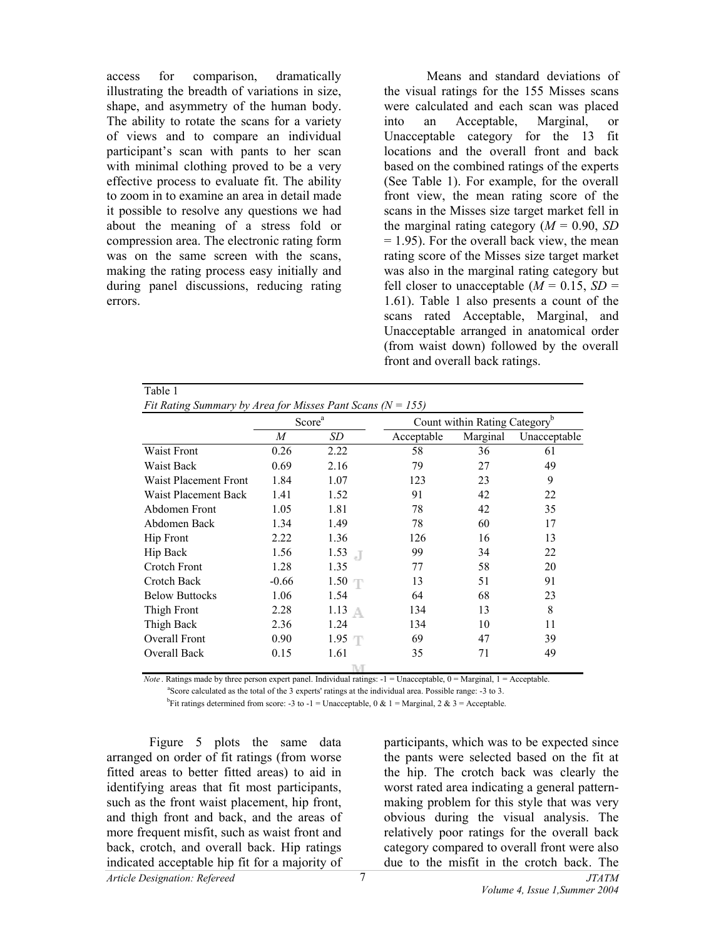access for comparison, dramatically illustrating the breadth of variations in size, shape, and asymmetry of the human body. The ability to rotate the scans for a variety of views and to compare an individual participant's scan with pants to her scan with minimal clothing proved to be a very effective process to evaluate fit. The ability to zoom in to examine an area in detail made it possible to resolve any questions we had about the meaning of a stress fold or compression area. The electronic rating form was on the same screen with the scans, making the rating process easy initially and during panel discussions, reducing rating errors.

Table 1

Means and standard deviations of the visual ratings for the 155 Misses scans were calculated and each scan was placed into an Acceptable, Marginal, or Unacceptable category for the 13 fit locations and the overall front and back based on the combined ratings of the experts (See Table 1). For example, for the overall front view, the mean rating score of the scans in the Misses size target market fell in the marginal rating category  $(M = 0.90, SD)$  $= 1.95$ ). For the overall back view, the mean rating score of the Misses size target market was also in the marginal rating category but fell closer to unacceptable  $(M = 0.15, SD =$ 1.61). Table 1 also presents a count of the scans rated Acceptable, Marginal, and Unacceptable arranged in anatomical order (from waist down) followed by the overall front and overall back ratings.

|                       | Score <sup>a</sup> |                 | Count within Rating Category |          |              |
|-----------------------|--------------------|-----------------|------------------------------|----------|--------------|
|                       | M                  | SD              | Acceptable                   | Marginal | Unacceptable |
| Waist Front           | 0.26               | 2.22            | 58                           | 36       | 61           |
| <b>Waist Back</b>     | 0.69               | 2.16            | 79                           | 27       | 49           |
| Waist Placement Front | 1.84               | 1.07            | 123                          | 23       | 9            |
| Waist Placement Back  | 1.41               | 1.52            | 91                           | 42       | 22           |
| Abdomen Front         | 1.05               | 1.81            | 78                           | 42       | 35           |
| Abdomen Back          | 1.34               | 1.49            | 78                           | 60       | 17           |
| <b>Hip Front</b>      | 2.22               | 1.36            | 126                          | 16       | 13           |
| Hip Back              | 1.56               | 1.53<br>. I     | 99                           | 34       | 22           |
| Crotch Front          | 1.28               | 1.35            | 77                           | 58       | 20           |
| Crotch Back           | $-0.66$            | 1.50            | 13                           | 51       | 91           |
| <b>Below Buttocks</b> | 1.06               | 1.54            | 64                           | 68       | 23           |
| Thigh Front           | 2.28               | $1.13 \uparrow$ | 134                          | 13       | 8            |
| Thigh Back            | 2.36               | 1.24            | 134                          | 10       | 11           |
| Overall Front         | 0.90               | $1.95$ T        | 69                           | 47       | 39           |
| <b>Overall Back</b>   | 0.15               | 1.61            | 35                           | 71       | 49           |

*Note* . Ratings made by three person expert panel. Individual ratings:  $-1 =$  Unacceptable,  $0 =$  Marginal,  $1 =$  Acceptable.

<sup>a</sup>Score calculated as the total of the 3 experts' ratings at the individual area. Possible range: -3 to 3.

<sup>b</sup>Fit ratings determined from score: -3 to -1 = Unacceptable, 0 & 1 = Marginal, 2 & 3 = Acceptable.

*Article Designation: Refereed JTATM*  Figure 5 plots the same data arranged on order of fit ratings (from worse fitted areas to better fitted areas) to aid in identifying areas that fit most participants, such as the front waist placement, hip front, and thigh front and back, and the areas of more frequent misfit, such as waist front and back, crotch, and overall back. Hip ratings indicated acceptable hip fit for a majority of

participants, which was to be expected since the pants were selected based on the fit at the hip. The crotch back was clearly the worst rated area indicating a general patternmaking problem for this style that was very obvious during the visual analysis. The relatively poor ratings for the overall back category compared to overall front were also due to the misfit in the crotch back. The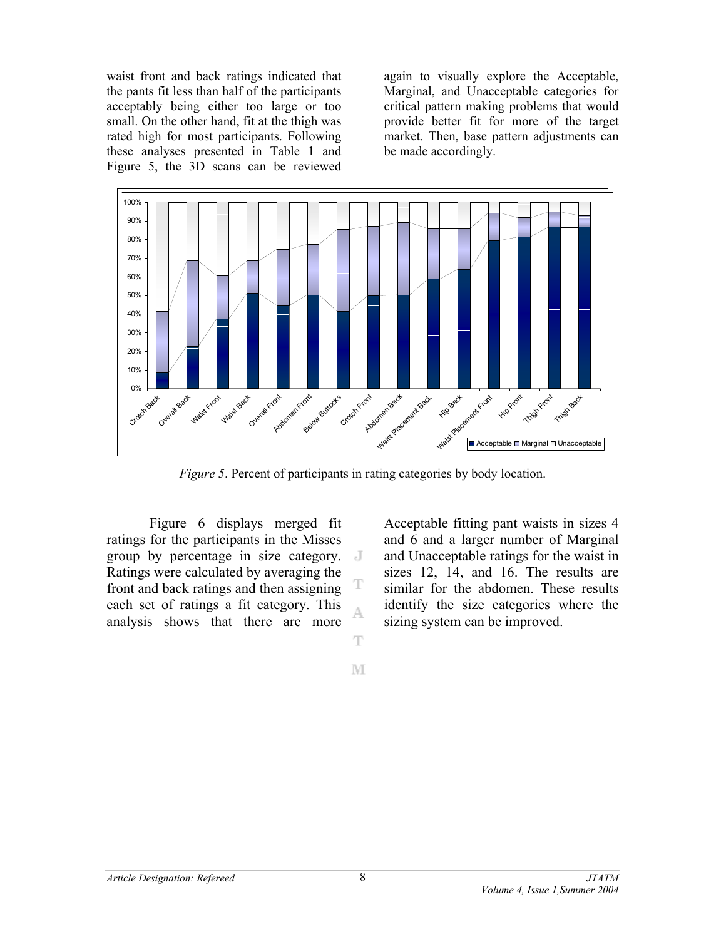waist front and back ratings indicated that the pants fit less than half of the participants acceptably being either too large or too small. On the other hand, fit at the thigh was rated high for most participants. Following these analyses presented in Table 1 and Figure 5, the 3D scans can be reviewed

again to visually explore the Acceptable, Marginal, and Unacceptable categories for critical pattern making problems that would provide better fit for more of the target market. Then, base pattern adjustments can be made accordingly.



*Figure 5*. Percent of participants in rating categories by body location.

Figure 6 displays merged fit ratings for the participants in the Misses group by percentage in size category. Ratings were calculated by averaging the front and back ratings and then assigning each set of ratings a fit category. This analysis shows that there are more

Acceptable fitting pant waists in sizes 4 and 6 and a larger number of Marginal and Unacceptable ratings for the waist in sizes 12, 14, and 16. The results are similar for the abdomen. These results identify the size categories where the sizing system can be improved.

M

T

A

T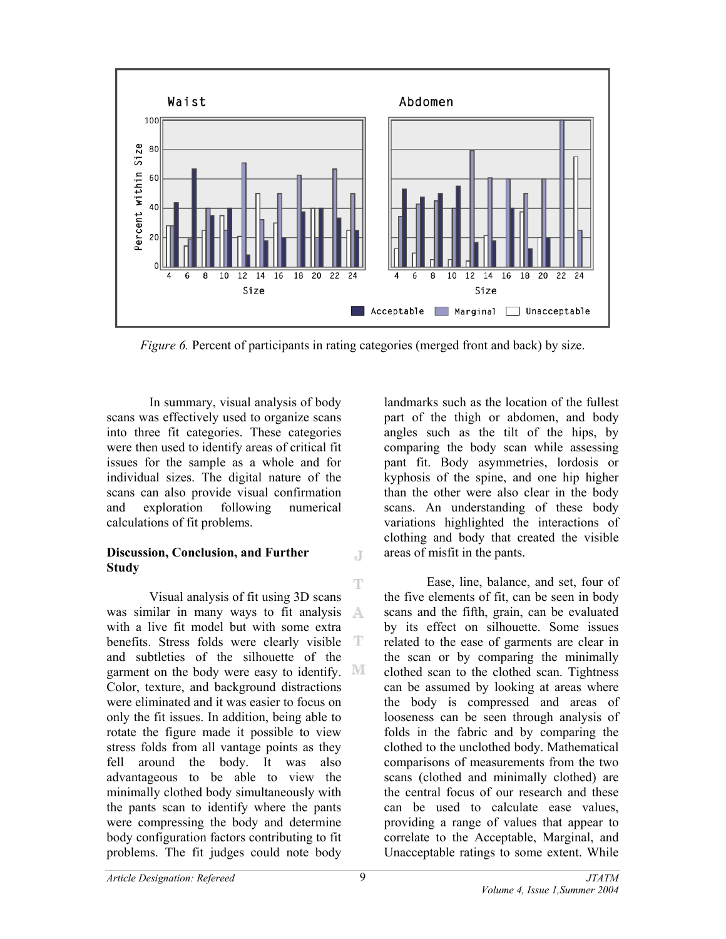

*Figure 6.* Percent of participants in rating categories (merged front and back) by size.

 $\mathbb{I}$ 

In summary, visual analysis of body scans was effectively used to organize scans into three fit categories. These categories were then used to identify areas of critical fit issues for the sample as a whole and for individual sizes. The digital nature of the scans can also provide visual confirmation and exploration following numerical calculations of fit problems.

# **Discussion, Conclusion, and Further Study**

T Visual analysis of fit using 3D scans was similar in many ways to fit analysis A with a live fit model but with some extra benefits. Stress folds were clearly visible T and subtleties of the silhouette of the garment on the body were easy to identify. MI Color, texture, and background distractions were eliminated and it was easier to focus on only the fit issues. In addition, being able to rotate the figure made it possible to view stress folds from all vantage points as they fell around the body. It was also advantageous to be able to view the minimally clothed body simultaneously with the pants scan to identify where the pants were compressing the body and determine body configuration factors contributing to fit problems. The fit judges could note body

landmarks such as the location of the fullest part of the thigh or abdomen, and body angles such as the tilt of the hips, by comparing the body scan while assessing pant fit. Body asymmetries, lordosis or kyphosis of the spine, and one hip higher than the other were also clear in the body scans. An understanding of these body variations highlighted the interactions of clothing and body that created the visible areas of misfit in the pants.

Ease, line, balance, and set, four of the five elements of fit, can be seen in body scans and the fifth, grain, can be evaluated by its effect on silhouette. Some issues related to the ease of garments are clear in the scan or by comparing the minimally clothed scan to the clothed scan. Tightness can be assumed by looking at areas where the body is compressed and areas of looseness can be seen through analysis of folds in the fabric and by comparing the clothed to the unclothed body. Mathematical comparisons of measurements from the two scans (clothed and minimally clothed) are the central focus of our research and these can be used to calculate ease values, providing a range of values that appear to correlate to the Acceptable, Marginal, and Unacceptable ratings to some extent. While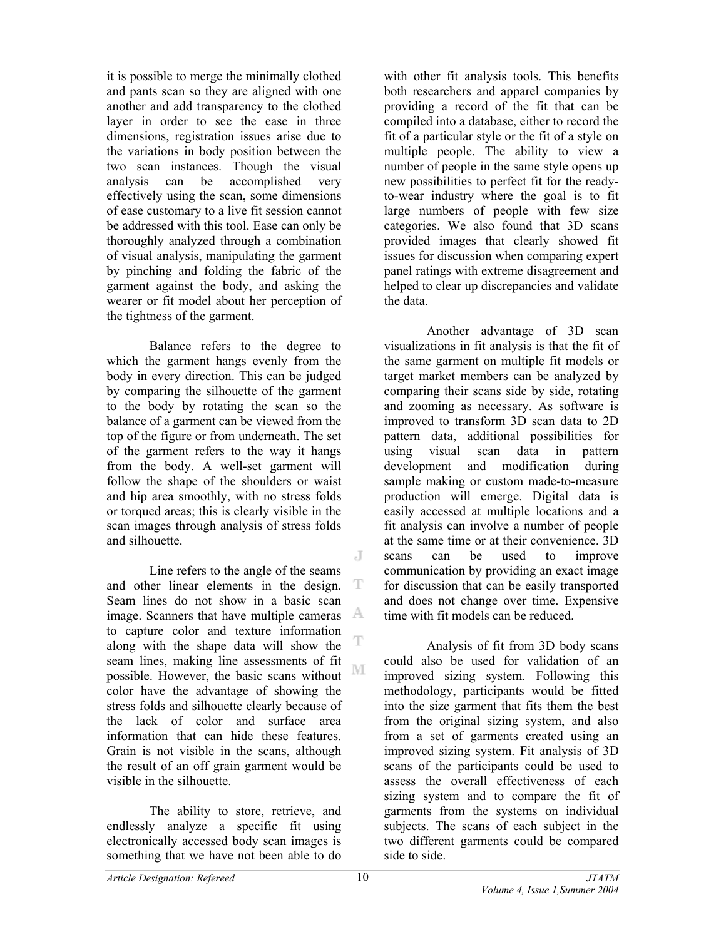it is possible to merge the minimally clothed and pants scan so they are aligned with one another and add transparency to the clothed layer in order to see the ease in three dimensions, registration issues arise due to the variations in body position between the two scan instances. Though the visual analysis can be accomplished very effectively using the scan, some dimensions of ease customary to a live fit session cannot be addressed with this tool. Ease can only be thoroughly analyzed through a combination of visual analysis, manipulating the garment by pinching and folding the fabric of the garment against the body, and asking the wearer or fit model about her perception of the tightness of the garment.

Balance refers to the degree to which the garment hangs evenly from the body in every direction. This can be judged by comparing the silhouette of the garment to the body by rotating the scan so the balance of a garment can be viewed from the top of the figure or from underneath. The set of the garment refers to the way it hangs from the body. A well-set garment will follow the shape of the shoulders or waist and hip area smoothly, with no stress folds or torqued areas; this is clearly visible in the scan images through analysis of stress folds and silhouette.

Line refers to the angle of the seams and other linear elements in the design. T Seam lines do not show in a basic scan image. Scanners that have multiple cameras  $\mathbb{A}$ to capture color and texture information along with the shape data will show the seam lines, making line assessments of fit M possible. However, the basic scans without color have the advantage of showing the stress folds and silhouette clearly because of the lack of color and surface area information that can hide these features. Grain is not visible in the scans, although the result of an off grain garment would be visible in the silhouette.

The ability to store, retrieve, and endlessly analyze a specific fit using electronically accessed body scan images is something that we have not been able to do

with other fit analysis tools. This benefits both researchers and apparel companies by providing a record of the fit that can be compiled into a database, either to record the fit of a particular style or the fit of a style on multiple people. The ability to view a number of people in the same style opens up new possibilities to perfect fit for the readyto-wear industry where the goal is to fit large numbers of people with few size categories. We also found that 3D scans provided images that clearly showed fit issues for discussion when comparing expert panel ratings with extreme disagreement and helped to clear up discrepancies and validate the data.

Another advantage of 3D scan visualizations in fit analysis is that the fit of the same garment on multiple fit models or target market members can be analyzed by comparing their scans side by side, rotating and zooming as necessary. As software is improved to transform 3D scan data to 2D pattern data, additional possibilities for using visual scan data in pattern development and modification during sample making or custom made-to-measure production will emerge. Digital data is easily accessed at multiple locations and a fit analysis can involve a number of people at the same time or at their convenience. 3D scans can be used to improve communication by providing an exact image for discussion that can be easily transported and does not change over time. Expensive time with fit models can be reduced.

Analysis of fit from 3D body scans could also be used for validation of an improved sizing system. Following this methodology, participants would be fitted into the size garment that fits them the best from the original sizing system, and also from a set of garments created using an improved sizing system. Fit analysis of 3D scans of the participants could be used to assess the overall effectiveness of each sizing system and to compare the fit of garments from the systems on individual subjects. The scans of each subject in the two different garments could be compared side to side.

J

T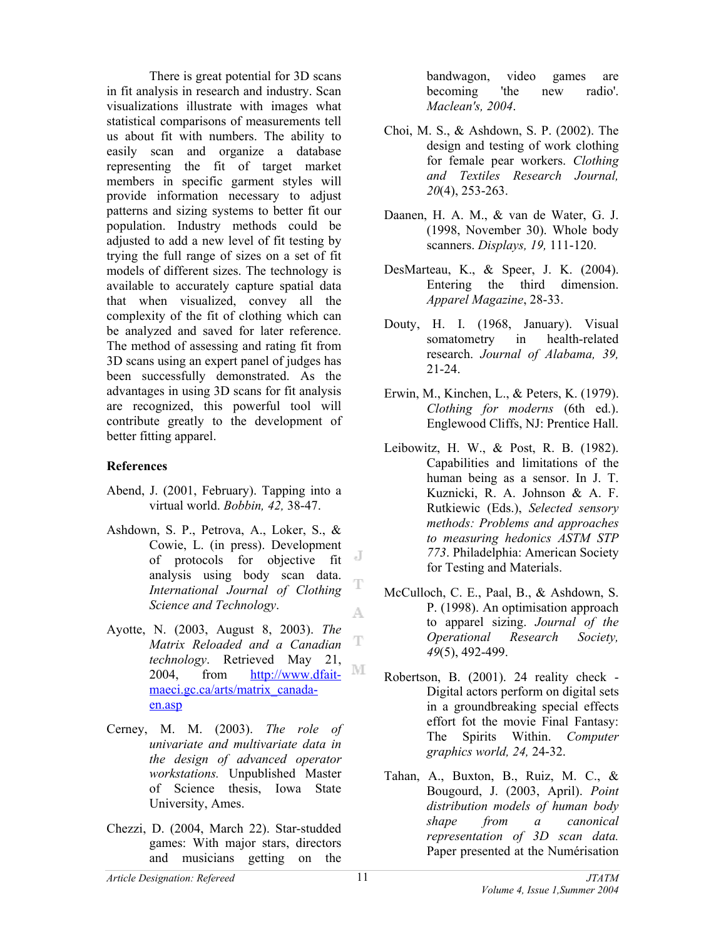There is great potential for 3D scans in fit analysis in research and industry. Scan visualizations illustrate with images what statistical comparisons of measurements tell us about fit with numbers. The ability to easily scan and organize a database representing the fit of target market members in specific garment styles will provide information necessary to adjust patterns and sizing systems to better fit our population. Industry methods could be adjusted to add a new level of fit testing by trying the full range of sizes on a set of fit models of different sizes. The technology is available to accurately capture spatial data that when visualized, convey all the complexity of the fit of clothing which can be analyzed and saved for later reference. The method of assessing and rating fit from 3D scans using an expert panel of judges has been successfully demonstrated. As the advantages in using 3D scans for fit analysis are recognized, this powerful tool will contribute greatly to the development of better fitting apparel.

## **References**

- Abend, J. (2001, February). Tapping into a virtual world. *Bobbin, 42,* 38-47.
- Ashdown, S. P., Petrova, A., Loker, S., & Cowie, L. (in press). Development of protocols for objective fit  $\mathbb{J}$ analysis using body scan data. T *International Journal of Clothing Science and Technology*. A
- Ayotte, N. (2003, August 8, 2003). *The*  T *Matrix Reloaded and a Canadian technology*. Retrieved May 21, M [2004, from http://www.dfait](http://www.dfaitmaeci.gc.ca/arts/matrix_canadaen.asp)maeci.gc.ca/arts/matrix\_canadaen.asp
- Cerney, M. M. (2003). *The role of univariate and multivariate data in the design of advanced operator workstations.* Unpublished Master of Science thesis, Iowa State University, Ames.
- Chezzi, D. (2004, March 22). Star-studded games: With major stars, directors and musicians getting on the

bandwagon, video games are becoming 'the new radio'. *Maclean's, 2004*.

- Choi, M. S., & Ashdown, S. P. (2002). The design and testing of work clothing for female pear workers. *Clothing and Textiles Research Journal, 20*(4), 253-263.
- Daanen, H. A. M., & van de Water, G. J. (1998, November 30). Whole body scanners. *Displays, 19,* 111-120.
- DesMarteau, K., & Speer, J. K. (2004). Entering the third dimension. *Apparel Magazine*, 28-33.
- Douty, H. I. (1968, January). Visual somatometry in health-related research. *Journal of Alabama, 39,* 21-24.
- Erwin, M., Kinchen, L., & Peters, K. (1979). *Clothing for moderns* (6th ed.). Englewood Cliffs, NJ: Prentice Hall.
- Leibowitz, H. W., & Post, R. B. (1982). Capabilities and limitations of the human being as a sensor. In J. T. Kuznicki, R. A. Johnson & A. F. Rutkiewic (Eds.), *Selected sensory methods: Problems and approaches to measuring hedonics ASTM STP 773*. Philadelphia: American Society for Testing and Materials.
- McCulloch, C. E., Paal, B., & Ashdown, S. P. (1998). An optimisation approach to apparel sizing. *Journal of the Operational Research Society, 49*(5), 492-499.
- Robertson, B. (2001). 24 reality check Digital actors perform on digital sets in a groundbreaking special effects effort fot the movie Final Fantasy: The Spirits Within. *Computer graphics world, 24,* 24-32.
- Tahan, A., Buxton, B., Ruiz, M. C., & Bougourd, J. (2003, April). *Point distribution models of human body shape from a canonical representation of 3D scan data.* Paper presented at the Numérisation